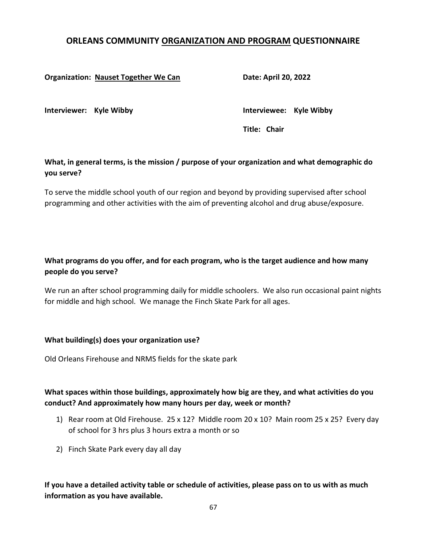# ORLEANS COMMUNITY ORGANIZATION AND PROGRAM QUESTIONNAIRE

#### Organization: Nauset Together We Can **Date: April 20, 2022**

Interviewer: Kyle Wibby **Interviewee:** Kyle Wibby

Title: Chair

### What, in general terms, is the mission / purpose of your organization and what demographic do you serve?

To serve the middle school youth of our region and beyond by providing supervised after school programming and other activities with the aim of preventing alcohol and drug abuse/exposure.

# What programs do you offer, and for each program, who is the target audience and how many people do you serve?

We run an after school programming daily for middle schoolers. We also run occasional paint nights for middle and high school. We manage the Finch Skate Park for all ages.

#### What building(s) does your organization use?

Old Orleans Firehouse and NRMS fields for the skate park

### What spaces within those buildings, approximately how big are they, and what activities do you conduct? And approximately how many hours per day, week or month?

- 1) Rear room at Old Firehouse. 25 x 12? Middle room 20 x 10? Main room 25 x 25? Every day of school for 3 hrs plus 3 hours extra a month or so
- 2) Finch Skate Park every day all day

### If you have a detailed activity table or schedule of activities, please pass on to us with as much information as you have available.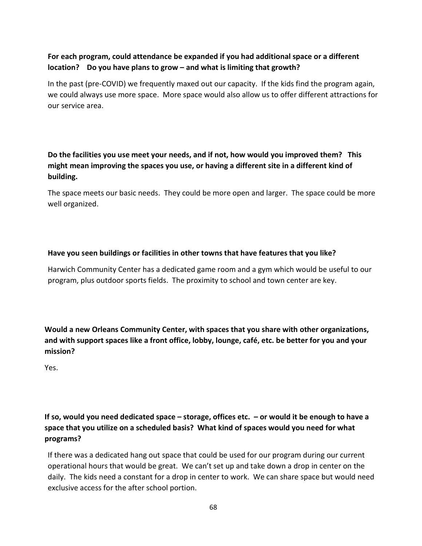### For each program, could attendance be expanded if you had additional space or a different location? Do you have plans to grow – and what is limiting that growth?

In the past (pre-COVID) we frequently maxed out our capacity. If the kids find the program again, we could always use more space. More space would also allow us to offer different attractions for our service area.

Do the facilities you use meet your needs, and if not, how would you improved them? This might mean improving the spaces you use, or having a different site in a different kind of building.

The space meets our basic needs. They could be more open and larger. The space could be more well organized.

#### Have you seen buildings or facilities in other towns that have features that you like?

Harwich Community Center has a dedicated game room and a gym which would be useful to our program, plus outdoor sports fields. The proximity to school and town center are key.

Would a new Orleans Community Center, with spaces that you share with other organizations, and with support spaces like a front office, lobby, lounge, café, etc. be better for you and your mission?

Yes.

# If so, would you need dedicated space – storage, offices etc. – or would it be enough to have a space that you utilize on a scheduled basis? What kind of spaces would you need for what programs?

If there was a dedicated hang out space that could be used for our program during our current operational hours that would be great. We can't set up and take down a drop in center on the daily. The kids need a constant for a drop in center to work. We can share space but would need exclusive access for the after school portion.